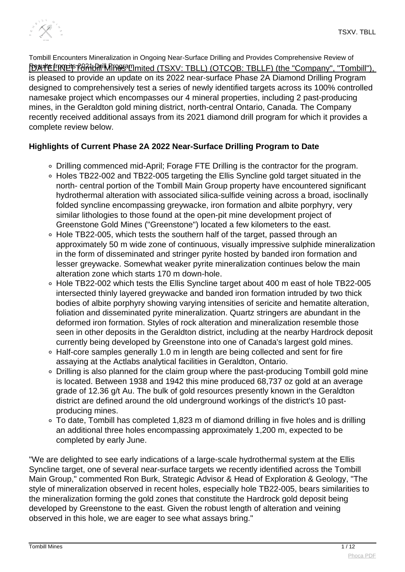Tombill Encounters Mineralization in Ongoing Near-Surface Drilling and Provides Comprehensive Review of RESULTE LANTE FOR INTIVITY PROPERTY IN THE COMPANY IT DATA IN THE RESULTS OF THE LIMIT OF THE RESULTS OF THE TOMBILITY, is pleased to provide an update on its 2022 near-surface Phase 2A Diamond Drilling Program designed to comprehensively test a series of newly identified targets across its 100% controlled namesake project which encompasses our 4 mineral properties, including 2 past-producing mines, in the Geraldton gold mining district, north-central Ontario, Canada. The Company recently received additional assays from its 2021 diamond drill program for which it provides a complete review below.

## **Highlights of Current Phase 2A 2022 Near-Surface Drilling Program to Date**

- Drilling commenced mid-April; Forage FTE Drilling is the contractor for the program.
- Holes TB22-002 and TB22-005 targeting the Ellis Syncline gold target situated in the north- central portion of the Tombill Main Group property have encountered significant hydrothermal alteration with associated silica-sulfide veining across a broad, isoclinally folded syncline encompassing greywacke, iron formation and albite porphyry, very similar lithologies to those found at the open-pit mine development project of Greenstone Gold Mines ("Greenstone") located a few kilometers to the east.
- Hole TB22-005, which tests the southern half of the target, passed through an approximately 50 m wide zone of continuous, visually impressive sulphide mineralization in the form of disseminated and stringer pyrite hosted by banded iron formation and lesser greywacke. Somewhat weaker pyrite mineralization continues below the main alteration zone which starts 170 m down-hole.
- Hole TB22-002 which tests the Ellis Syncline target about 400 m east of hole TB22-005 intersected thinly layered greywacke and banded iron formation intruded by two thick bodies of albite porphyry showing varying intensities of sericite and hematite alteration, foliation and disseminated pyrite mineralization. Quartz stringers are abundant in the deformed iron formation. Styles of rock alteration and mineralization resemble those seen in other deposits in the Geraldton district, including at the nearby Hardrock deposit currently being developed by Greenstone into one of Canada's largest gold mines.
- Half-core samples generally 1.0 m in length are being collected and sent for fire assaying at the Actlabs analytical facilities in Geraldton, Ontario.
- Drilling is also planned for the claim group where the past-producing Tombill gold mine is located. Between 1938 and 1942 this mine produced 68,737 oz gold at an average grade of 12.36 g/t Au. The bulk of gold resources presently known in the Geraldton district are defined around the old underground workings of the district's 10 pastproducing mines.
- To date, Tombill has completed 1,823 m of diamond drilling in five holes and is drilling an additional three holes encompassing approximately 1,200 m, expected to be completed by early June.

"We are delighted to see early indications of a large-scale hydrothermal system at the Ellis Syncline target, one of several near-surface targets we recently identified across the Tombill Main Group," commented Ron Burk, Strategic Advisor & Head of Exploration & Geology, "The style of mineralization observed in recent holes, especially hole TB22-005, bears similarities to the mineralization forming the gold zones that constitute the Hardrock gold deposit being developed by Greenstone to the east. Given the robust length of alteration and veining observed in this hole, we are eager to see what assays bring."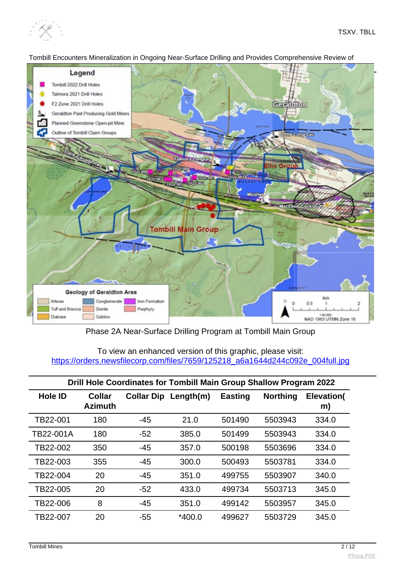

Tombill Encounters Mineralization in Ongoing Near-Surface Drilling and Provides Comprehensive Review of



Phase 2A Near-Surface Drilling Program at Tombill Main Group

To view an enhanced version of this graphic, please visit: [https://orders.newsfilecorp.com/files/7659/125218\\_a6a1644d244c092e\\_004full.jpg](https://orders.newsfilecorp.com/files/7659/125218_a6a1644d244c092e_004full.jpg)

|                |                          |                   | Drill Hole Coordinates for Tombill Main Group Shallow Program 2022 |                |                 |                  |
|----------------|--------------------------|-------------------|--------------------------------------------------------------------|----------------|-----------------|------------------|
| <b>Hole ID</b> | Collar<br><b>Azimuth</b> | <b>Collar Dip</b> | Length(m)                                                          | <b>Easting</b> | <b>Northing</b> | Elevation(<br>m) |
| TB22-001       | 180                      | $-45$             | 21.0                                                               | 501490         | 5503943         | 334.0            |
| TB22-001A      | 180                      | $-52$             | 385.0                                                              | 501499         | 5503943         | 334.0            |
| TB22-002       | 350                      | $-45$             | 357.0                                                              | 500198         | 5503696         | 334.0            |
| TB22-003       | 355                      | $-45$             | 300.0                                                              | 500493         | 5503781         | 334.0            |
| TB22-004       | 20                       | $-45$             | 351.0                                                              | 499755         | 5503907         | 340.0            |
| TB22-005       | 20                       | $-52$             | 433.0                                                              | 499734         | 5503713         | 345.0            |
| TB22-006       | 8                        | $-45$             | 351.0                                                              | 499142         | 5503957         | 345.0            |
| TB22-007       | 20                       | $-55$             | $*400.0$                                                           | 499627         | 5503729         | 345.0            |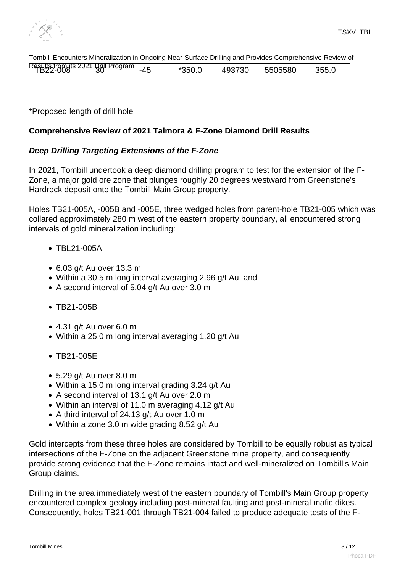

Tombill Encounters Mineralization in Ongoing Near-Surface Drilling and Provides Comprehensive Review of

Results from its 2021 Drill Program 45  $\overline{a}$   $\overline{a}$   $\overline{a}$   $\overline{a}$   $\overline{a}$   $\overline{a}$   $\overline{a}$   $\overline{a}$   $\overline{a}$   $\overline{a}$   $\overline{a}$   $\overline{a}$   $\overline{a}$   $\overline{a}$   $\overline{a}$   $\overline{a}$   $\overline{a}$   $\overline{a}$   $\overline{a}$   $\overline{a}$   $\over$ 

\*Proposed length of drill hole

## **Comprehensive Review of 2021 Talmora & F-Zone Diamond Drill Results**

## **Deep Drilling Targeting Extensions of the F-Zone**

In 2021, Tombill undertook a deep diamond drilling program to test for the extension of the F-Zone, a major gold ore zone that plunges roughly 20 degrees westward from Greenstone's Hardrock deposit onto the Tombill Main Group property.

Holes TB21-005A, -005B and -005E, three wedged holes from parent-hole TB21-005 which was collared approximately 280 m west of the eastern property boundary, all encountered strong intervals of gold mineralization including:

- TBI 21-005A
- 6.03 g/t Au over 13.3 m
- Within a 30.5 m long interval averaging 2.96 g/t Au, and
- A second interval of 5.04 g/t Au over 3.0 m
- TB21-005B
- 4.31 g/t Au over 6.0 m
- Within a 25.0 m long interval averaging 1.20 g/t Au
- TB21-005E
- 5.29 g/t Au over 8.0 m
- Within a 15.0 m long interval grading 3.24 g/t Au
- A second interval of 13.1 g/t Au over 2.0 m
- Within an interval of 11.0 m averaging 4.12 g/t Au
- A third interval of 24.13 g/t Au over 1.0 m
- Within a zone 3.0 m wide grading 8.52 g/t Au

Gold intercepts from these three holes are considered by Tombill to be equally robust as typical intersections of the F-Zone on the adjacent Greenstone mine property, and consequently provide strong evidence that the F-Zone remains intact and well-mineralized on Tombill's Main Group claims.

Drilling in the area immediately west of the eastern boundary of Tombill's Main Group property encountered complex geology including post-mineral faulting and post-mineral mafic dikes. Consequently, holes TB21-001 through TB21-004 failed to produce adequate tests of the F-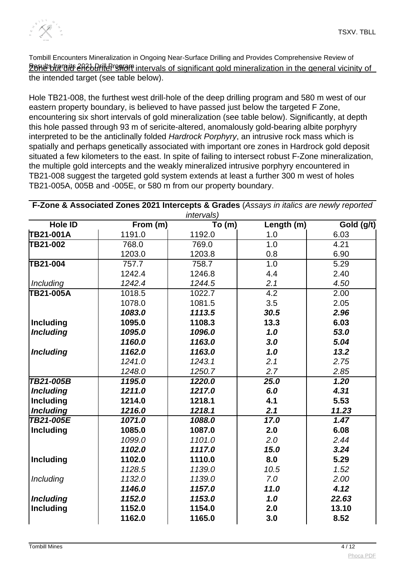

Tombill Encounters Mineralization in Ongoing Near-Surface Drilling and Provides Comprehensive Review of **Perle but also approximate and intervals of significant gold mineralization in the general vicinity of** the intended target (see table below).

Hole TB21-008, the furthest west drill-hole of the deep drilling program and 580 m west of our eastern property boundary, is believed to have passed just below the targeted F Zone, encountering six short intervals of gold mineralization (see table below). Significantly, at depth this hole passed through 93 m of sericite-altered, anomalously gold-bearing albite porphyry interpreted to be the anticlinally folded Hardrock Porphyry, an intrusive rock mass which is spatially and perhaps genetically associated with important ore zones in Hardrock gold deposit situated a few kilometers to the east. In spite of failing to intersect robust F-Zone mineralization, the multiple gold intercepts and the weakly mineralized intrusive porphyry encountered in TB21-008 suggest the targeted gold system extends at least a further 300 m west of holes TB21-005A, 005B and -005E, or 580 m from our property boundary.

**F-Zone & Associated Zones 2021 Intercepts & Grades** (Assays in italics are newly reported  $int_{B}$  $\left( n \right)$ 

| <b>Hole ID</b>   | From (m) | To(m)  | Length (m)       | Gold (g/t) |
|------------------|----------|--------|------------------|------------|
| TB21-001A        | 1191.0   | 1192.0 | 1.0              | 6.03       |
| TB21-002         | 768.0    | 769.0  | $\overline{1.0}$ | 4.21       |
|                  | 1203.0   | 1203.8 | 0.8              | 6.90       |
| TB21-004         | 757.7    | 758.7  | 1.0              | 5.29       |
|                  | 1242.4   | 1246.8 | 4.4              | 2.40       |
| Including        | 1242.4   | 1244.5 | 2.1              | 4.50       |
| TB21-005A        | 1018.5   | 1022.7 | $\overline{4.2}$ | 2.00       |
|                  | 1078.0   | 1081.5 | 3.5              | 2.05       |
|                  | 1083.0   | 1113.5 | 30.5             | 2.96       |
| Including        | 1095.0   | 1108.3 | 13.3             | 6.03       |
| <b>Including</b> | 1095.0   | 1096.0 | 1.0              | 53.0       |
|                  | 1160.0   | 1163.0 | 3.0              | 5.04       |
| <b>Including</b> | 1162.0   | 1163.0 | 1.0              | 13.2       |
|                  | 1241.0   | 1243.1 | 2.1              | 2.75       |
|                  | 1248.0   | 1250.7 | 2.7              | 2.85       |
| TB21-005B        | 1195.0   | 1220.0 | 25.0             | 1.20       |
| <b>Including</b> | 1211.0   | 1217.0 | 6.0              | 4.31       |
| <b>Including</b> | 1214.0   | 1218.1 | 4.1              | 5.53       |
| <b>Including</b> | 1216.0   | 1218.1 | 2.1              | 11.23      |
| TB21-005E        | 1071.0   | 1088.0 | 17.0             | 1.47       |
| <b>Including</b> | 1085.0   | 1087.0 | 2.0              | 6.08       |
|                  | 1099.0   | 1101.0 | 2.0              | 2.44       |
|                  | 1102.0   | 1117.0 | 15.0             | 3.24       |
| Including        | 1102.0   | 1110.0 | 8.0              | 5.29       |
|                  | 1128.5   | 1139.0 | 10.5             | 1.52       |
| Including        | 1132.0   | 1139.0 | 7.0              | 2.00       |
|                  | 1146.0   | 1157.0 | 11.0             | 4.12       |
| <b>Including</b> | 1152.0   | 1153.0 | 1.0              | 22.63      |
| <b>Including</b> | 1152.0   | 1154.0 | 2.0              | 13.10      |
|                  | 1162.0   | 1165.0 | 3.0              | 8.52       |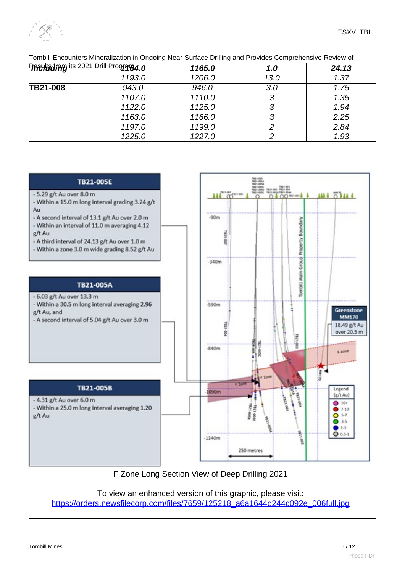

 $\mathbf{r}$ 

Tombill Encounters Mineralization in Ongoing Near-Surface Drilling and Provides Comprehensive Review of Results from its 2021 Drill Program **Including 1164.0 1165.0 1.0 24.13**

|          |        | 1165.0 | 1.0  | 24.13 |
|----------|--------|--------|------|-------|
|          | 1193.0 | 1206.0 | 13.0 | 1.37  |
| TB21-008 | 943.0  | 946.0  | 3.0  | 1.75  |
|          | 1107.0 | 1110.0 | 3    | 1.35  |
|          | 1122.0 | 1125.0 | 3    | 1.94  |
|          | 1163.0 | 1166.0 | 3    | 2.25  |
|          | 1197.0 | 1199.0 |      | 2.84  |
|          | 1225.0 | 1227.0 | ⌒    | 1.93  |



F Zone Long Section View of Deep Drilling 2021

To view an enhanced version of this graphic, please visit: [https://orders.newsfilecorp.com/files/7659/125218\\_a6a1644d244c092e\\_006full.jpg](https://orders.newsfilecorp.com/files/7659/125218_a6a1644d244c092e_006full.jpg)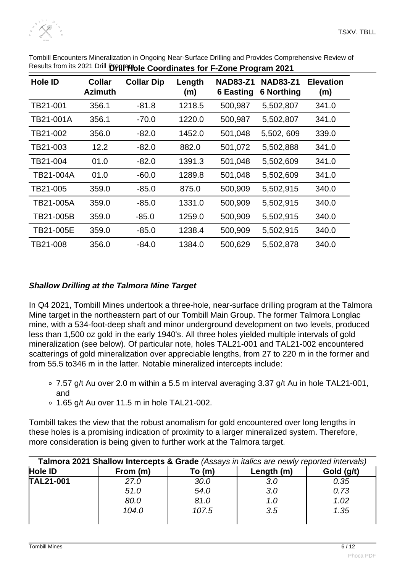

| <b>Hole ID</b> | <b>Collar</b><br><b>Azimuth</b> | <b>Collar Dip</b> | Length<br>(m) | <b>NAD83-Z1</b><br><b>6 Easting</b> | <b>NAD83-Z1</b><br><b>6 Northing</b> | <b>Elevation</b><br>(m) |
|----------------|---------------------------------|-------------------|---------------|-------------------------------------|--------------------------------------|-------------------------|
| TB21-001       | 356.1                           | $-81.8$           | 1218.5        | 500,987                             | 5,502,807                            | 341.0                   |
| TB21-001A      | 356.1                           | $-70.0$           | 1220.0        | 500,987                             | 5,502,807                            | 341.0                   |
| TB21-002       | 356.0                           | $-82.0$           | 1452.0        | 501,048                             | 5,502,609                            | 339.0                   |
| TB21-003       | 12.2                            | $-82.0$           | 882.0         | 501,072                             | 5,502,888                            | 341.0                   |
| TB21-004       | 01.0                            | $-82.0$           | 1391.3        | 501,048                             | 5,502,609                            | 341.0                   |
| TB21-004A      | 01.0                            | $-60.0$           | 1289.8        | 501,048                             | 5,502,609                            | 341.0                   |
| TB21-005       | 359.0                           | $-85.0$           | 875.0         | 500,909                             | 5,502,915                            | 340.0                   |
| TB21-005A      | 359.0                           | $-85.0$           | 1331.0        | 500,909                             | 5,502,915                            | 340.0                   |
| TB21-005B      | 359.0                           | $-85.0$           | 1259.0        | 500,909                             | 5,502,915                            | 340.0                   |
| TB21-005E      | 359.0                           | $-85.0$           | 1238.4        | 500,909                             | 5,502,915                            | 340.0                   |
| TB21-008       | 356.0                           | $-84.0$           | 1384.0        | 500,629                             | 5,502,878                            | 340.0                   |

Tombill Encounters Mineralization in Ongoing Near-Surface Drilling and Provides Comprehensive Review of Results from its 2021 Drill **Bealta Hole Coordinates for F-Zone Program 2021** 

## **Shallow Drilling at the Talmora Mine Target**

In Q4 2021, Tombill Mines undertook a three-hole, near-surface drilling program at the Talmora Mine target in the northeastern part of our Tombill Main Group. The former Talmora Longlac mine, with a 534-foot-deep shaft and minor underground development on two levels, produced less than 1,500 oz gold in the early 1940's. All three holes yielded multiple intervals of gold mineralization (see below). Of particular note, holes TAL21-001 and TAL21-002 encountered scatterings of gold mineralization over appreciable lengths, from 27 to 220 m in the former and from 55.5 to346 m in the latter. Notable mineralized intercepts include:

- 7.57 g/t Au over 2.0 m within a 5.5 m interval averaging 3.37 g/t Au in hole TAL21-001, and
- $\circ$  1.65 g/t Au over 11.5 m in hole TAL21-002.

Tombill takes the view that the robust anomalism for gold encountered over long lengths in these holes is a promising indication of proximity to a larger mineralized system. Therefore, more consideration is being given to further work at the Talmora target.

| Talmora 2021 Shallow Intercepts & Grade (Assays in italics are newly reported intervals) |          |       |            |            |  |  |
|------------------------------------------------------------------------------------------|----------|-------|------------|------------|--|--|
| Hole ID                                                                                  | From (m) | To(m) | Length (m) | Gold (g/t) |  |  |
| TAL21-001                                                                                | 27.0     | 30.0  | 3.0        | 0.35       |  |  |
|                                                                                          | 51.0     | 54.0  | 3.0        | 0.73       |  |  |
|                                                                                          | 80.0     | 81.0  | 1.0        | 1.02       |  |  |
|                                                                                          | 104.0    | 107.5 | 3.5        | 1.35       |  |  |
|                                                                                          |          |       |            |            |  |  |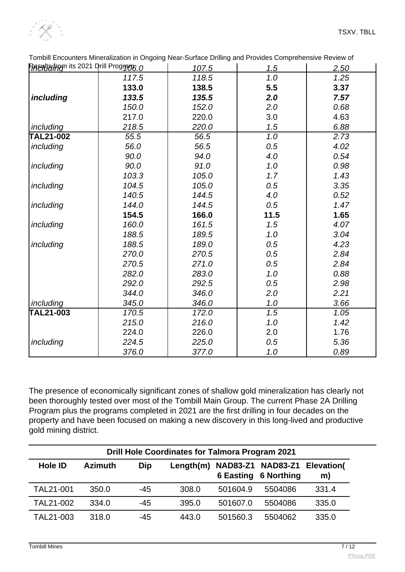

| Tombill Encounters Mineralization in Ongoing Near-Surface Drilling and Provides Comprehensive Review of |       |      |
|---------------------------------------------------------------------------------------------------------|-------|------|
| RASHLISHAGO its 2021 Drill Programs.0                                                                   | 107.5 | 2.50 |

| RAZULTATION its 2021 Drill Programs.0 |       | 107.5 | 1.5  | 2.50 |
|---------------------------------------|-------|-------|------|------|
|                                       | 117.5 | 118.5 | 1.0  | 1.25 |
|                                       | 133.0 | 138.5 | 5.5  | 3.37 |
| including                             | 133.5 | 135.5 | 2.0  | 7.57 |
|                                       | 150.0 | 152.0 | 2.0  | 0.68 |
|                                       | 217.0 | 220.0 | 3.0  | 4.63 |
| including                             | 218.5 | 220.0 | 1.5  | 6.88 |
| TAL21-002                             | 55.5  | 56.5  | 1.0  | 2.73 |
| including                             | 56.0  | 56.5  | 0.5  | 4.02 |
|                                       | 90.0  | 94.0  | 4.0  | 0.54 |
| including                             | 90.0  | 91.0  | 1.0  | 0.98 |
|                                       | 103.3 | 105.0 | 1.7  | 1.43 |
| including                             | 104.5 | 105.0 | 0.5  | 3.35 |
|                                       | 140.5 | 144.5 | 4.0  | 0.52 |
| including                             | 144.0 | 144.5 | 0.5  | 1.47 |
|                                       | 154.5 | 166.0 | 11.5 | 1.65 |
| including                             | 160.0 | 161.5 | 1.5  | 4.07 |
|                                       | 188.5 | 189.5 | 1.0  | 3.04 |
| including                             | 188.5 | 189.0 | 0.5  | 4.23 |
|                                       | 270.0 | 270.5 | 0.5  | 2.84 |
|                                       | 270.5 | 271.0 | 0.5  | 2.84 |
|                                       | 282.0 | 283.0 | 1.0  | 0.88 |
|                                       | 292.0 | 292.5 | 0.5  | 2.98 |
|                                       | 344.0 | 346.0 | 2.0  | 2.21 |
| including                             | 345.0 | 346.0 | 1.0  | 3.66 |
| TAL21-003                             | 170.5 | 172.0 | 1.5  | 1.05 |
|                                       | 215.0 | 216.0 | 1.0  | 1.42 |
|                                       | 224.0 | 226.0 | 2.0  | 1.76 |
| including                             | 224.5 | 225.0 | 0.5  | 5.36 |
|                                       | 376.0 | 377.0 | 1.0  | 0.89 |

The presence of economically significant zones of shallow gold mineralization has clearly not been thoroughly tested over most of the Tombill Main Group. The current Phase 2A Drilling Program plus the programs completed in 2021 are the first drilling in four decades on the property and have been focused on making a new discovery in this long-lived and productive gold mining district.

| <b>Drill Hole Coordinates for Talmora Program 2021</b> |                |       |           |          |                                                             |       |
|--------------------------------------------------------|----------------|-------|-----------|----------|-------------------------------------------------------------|-------|
| <b>Hole ID</b>                                         | <b>Azimuth</b> | Dip   | Length(m) |          | NAD83-Z1 NAD83-Z1 Elevation(<br><b>6 Easting 6 Northing</b> | m)    |
| TAL21-001                                              | 350.0          | $-45$ | 308.0     | 501604.9 | 5504086                                                     | 331.4 |
| TAL21-002                                              | 334.0          | $-45$ | 395.0     | 501607.0 | 5504086                                                     | 335.0 |
| TAL21-003                                              | 318.0          | $-45$ | 443.0     | 501560.3 | 5504062                                                     | 335.0 |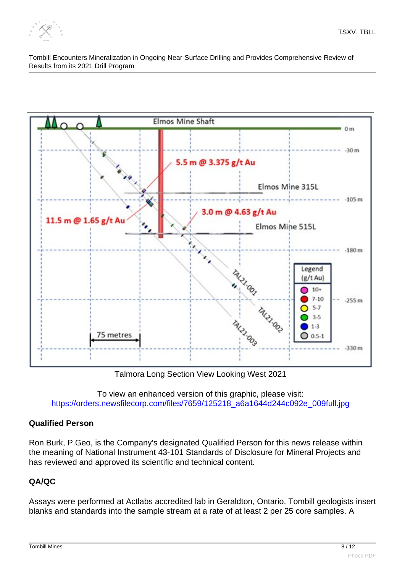Tombill Encounters Mineralization in Ongoing Near-Surface Drilling and Provides Comprehensive Review of Results from its 2021 Drill Program



Talmora Long Section View Looking West 2021

To view an enhanced version of this graphic, please visit: [https://orders.newsfilecorp.com/files/7659/125218\\_a6a1644d244c092e\\_009full.jpg](https://orders.newsfilecorp.com/files/7659/125218_a6a1644d244c092e_009full.jpg)

## **Qualified Person**

Ron Burk, P.Geo, is the Company's designated Qualified Person for this news release within the meaning of National Instrument 43-101 Standards of Disclosure for Mineral Projects and has reviewed and approved its scientific and technical content.

# **QA/QC**

Assays were performed at Actlabs accredited lab in Geraldton, Ontario. Tombill geologists insert blanks and standards into the sample stream at a rate of at least 2 per 25 core samples. A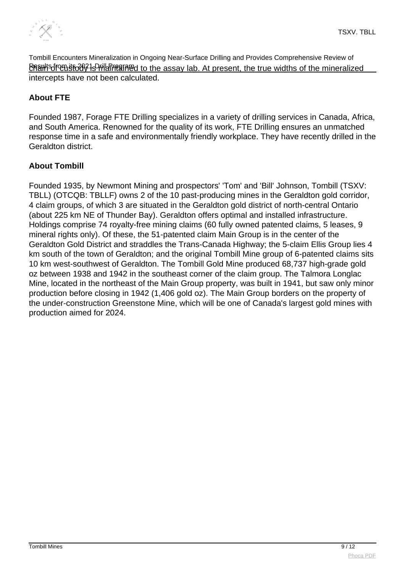

Tombill Encounters Mineralization in Ongoing Near-Surface Drilling and Provides Comprehensive Review of Results from its 2021 S-mill Principle is maintained to the assay lab. At present, the true widths of the mineralized intercepts have not been calculated.

# **About FTE**

Founded 1987, Forage FTE Drilling specializes in a variety of drilling services in Canada, Africa, and South America. Renowned for the quality of its work, FTE Drilling ensures an unmatched response time in a safe and environmentally friendly workplace. They have recently drilled in the Geraldton district.

### **About Tombill**

Founded 1935, by Newmont Mining and prospectors' 'Tom' and 'Bill' Johnson, Tombill (TSXV: TBLL) (OTCQB: TBLLF) owns 2 of the 10 past-producing mines in the Geraldton gold corridor, 4 claim groups, of which 3 are situated in the Geraldton gold district of north-central Ontario (about 225 km NE of Thunder Bay). Geraldton offers optimal and installed infrastructure. Holdings comprise 74 royalty-free mining claims (60 fully owned patented claims, 5 leases, 9 mineral rights only). Of these, the 51-patented claim Main Group is in the center of the Geraldton Gold District and straddles the Trans-Canada Highway; the 5-claim Ellis Group lies 4 km south of the town of Geraldton; and the original Tombill Mine group of 6-patented claims sits 10 km west-southwest of Geraldton. The Tombill Gold Mine produced 68,737 high-grade gold oz between 1938 and 1942 in the southeast corner of the claim group. The Talmora Longlac Mine, located in the northeast of the Main Group property, was built in 1941, but saw only minor production before closing in 1942 (1,406 gold oz). The Main Group borders on the property of the under-construction Greenstone Mine, which will be one of Canada's largest gold mines with production aimed for 2024.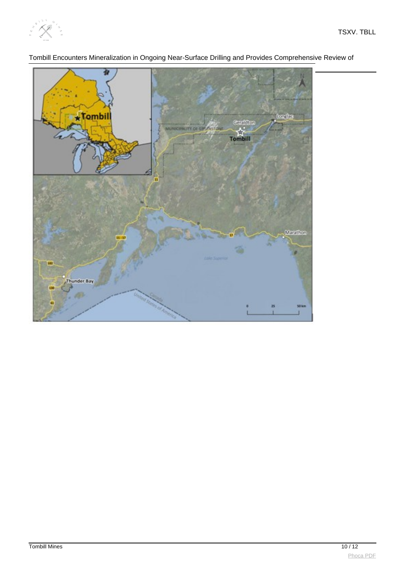

Tombill Encounters Mineralization in Ongoing Near-Surface Drilling and Provides Comprehensive Review of

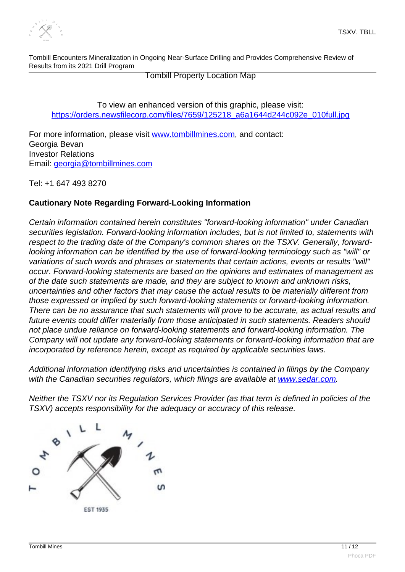

Tombill Encounters Mineralization in Ongoing Near-Surface Drilling and Provides Comprehensive Review of Results from its 2021 Drill Program

Tombill Property Location Map

#### To view an enhanced version of this graphic, please visit: [https://orders.newsfilecorp.com/files/7659/125218\\_a6a1644d244c092e\\_010full.jpg](https://orders.newsfilecorp.com/files/7659/125218_a6a1644d244c092e_010full.jpg)

For more information, please visit [www.tombillmines.com](https://www.newsfilecorp.com/redirect/JZBpxuj5xv), and contact: Georgia Bevan Investor Relations Email: [georgia@tombillmines.com](mailto:georgia@tombillmines.com)

Tel: +1 647 493 8270

### **Cautionary Note Regarding Forward-Looking Information**

Certain information contained herein constitutes "forward-looking information" under Canadian securities legislation. Forward-looking information includes, but is not limited to, statements with respect to the trading date of the Company's common shares on the TSXV. Generally, forwardlooking information can be identified by the use of forward-looking terminology such as "will" or variations of such words and phrases or statements that certain actions, events or results "will" occur. Forward-looking statements are based on the opinions and estimates of management as of the date such statements are made, and they are subject to known and unknown risks, uncertainties and other factors that may cause the actual results to be materially different from those expressed or implied by such forward-looking statements or forward-looking information. There can be no assurance that such statements will prove to be accurate, as actual results and future events could differ materially from those anticipated in such statements. Readers should not place undue reliance on forward-looking statements and forward-looking information. The Company will not update any forward-looking statements or forward-looking information that are incorporated by reference herein, except as required by applicable securities laws.

Additional information identifying risks and uncertainties is contained in filings by the Company with the Canadian securities regulators, which filings are available at [www.sedar.com](https://www.newsfilecorp.com/redirect/GOQPnHQowN).

Neither the TSXV nor its Regulation Services Provider (as that term is defined in policies of the TSXV) accepts responsibility for the adequacy or accuracy of this release.